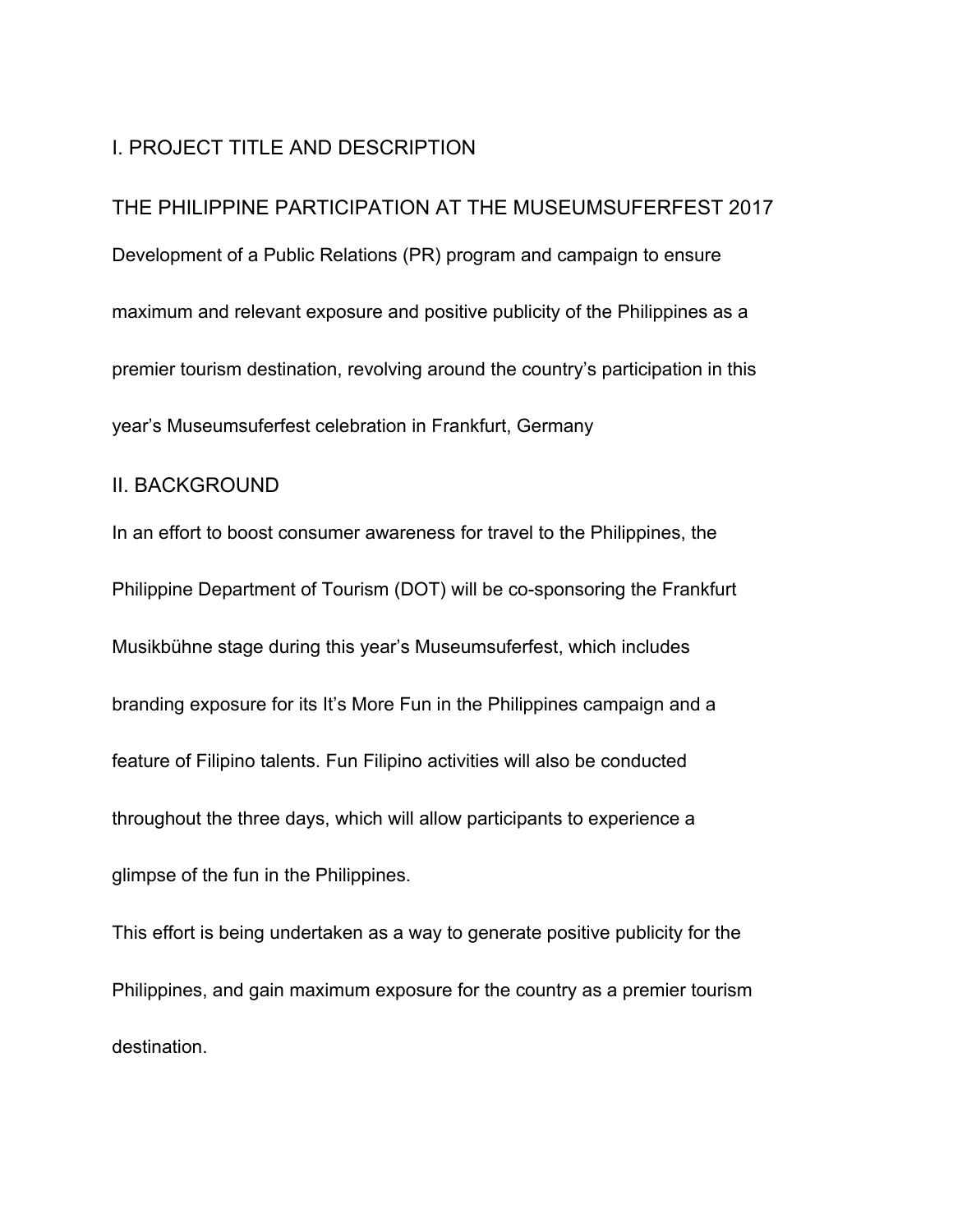# I. PROJECT TITLE AND DESCRIPTION

THE PHILIPPINE PARTICIPATION AT THE MUSEUMSUFERFEST 2017 Development of a Public Relations (PR) program and campaign to ensure maximum and relevant exposure and positive publicity of the Philippines as a premier tourism destination, revolving around the country's participation in this year's Museumsuferfest celebration in Frankfurt, Germany

#### II. BACKGROUND

In an effort to boost consumer awareness for travel to the Philippines, the Philippine Department of Tourism (DOT) will be co-sponsoring the Frankfurt Musikbühne stage during this year's Museumsuferfest, which includes branding exposure for its It's More Fun in the Philippines campaign and a feature of Filipino talents. Fun Filipino activities will also be conducted throughout the three days, which will allow participants to experience a glimpse of the fun in the Philippines.

This effort is being undertaken as a way to generate positive publicity for the Philippines, and gain maximum exposure for the country as a premier tourism destination.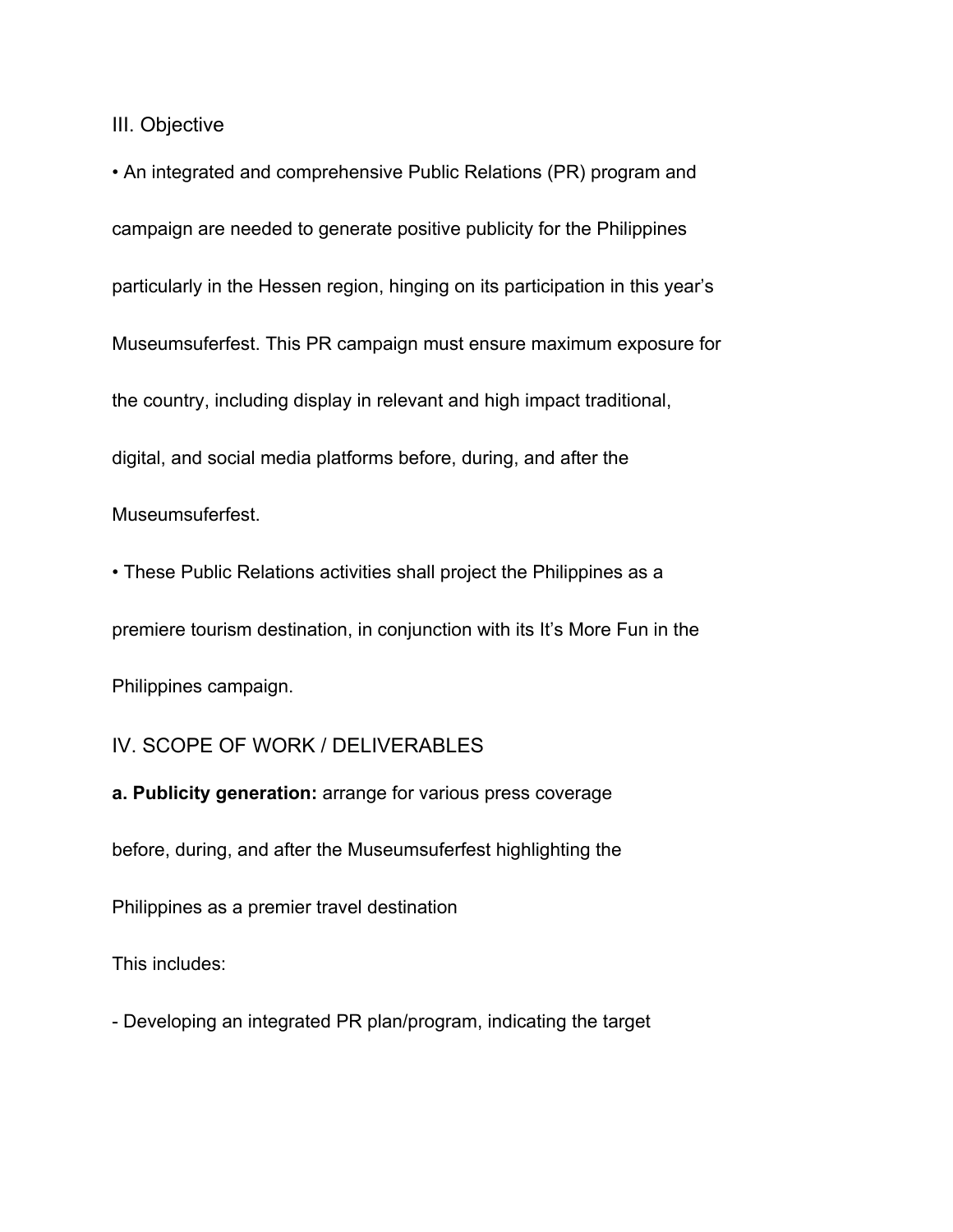III. Objective

• An integrated and comprehensive Public Relations (PR) program and campaign are needed to generate positive publicity for the Philippines particularly in the Hessen region, hinging on its participation in this year's Museumsuferfest. This PR campaign must ensure maximum exposure for the country, including display in relevant and high impact traditional, digital, and social media platforms before, during, and after the

Museumsuferfest.

• These Public Relations activities shall project the Philippines as a premiere tourism destination, in conjunction with its It's More Fun in the Philippines campaign.

## IV. SCOPE OF WORK / DELIVERABLES

**a. Publicity generation:** arrange for various press coverage before, during, and after the Museumsuferfest highlighting the Philippines as a premier travel destination

This includes:

- Developing an integrated PR plan/program, indicating the target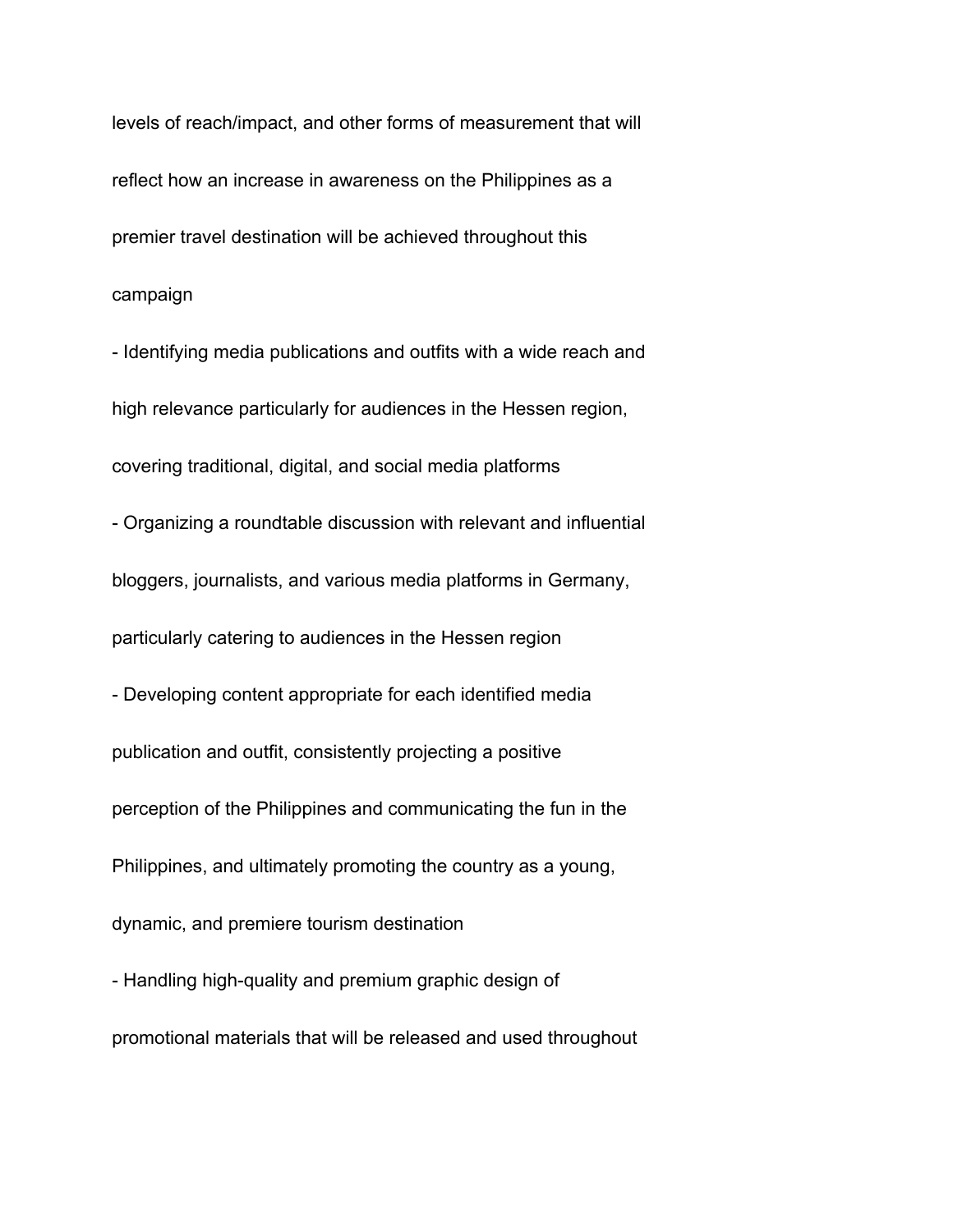levels of reach/impact, and other forms of measurement that will reflect how an increase in awareness on the Philippines as a premier travel destination will be achieved throughout this campaign

- Identifying media publications and outfits with a wide reach and high relevance particularly for audiences in the Hessen region, covering traditional, digital, and social media platforms - Organizing a roundtable discussion with relevant and influential bloggers, journalists, and various media platforms in Germany, particularly catering to audiences in the Hessen region - Developing content appropriate for each identified media publication and outfit, consistently projecting a positive perception of the Philippines and communicating the fun in the Philippines, and ultimately promoting the country as a young, dynamic, and premiere tourism destination - Handling high-quality and premium graphic design of

promotional materials that will be released and used throughout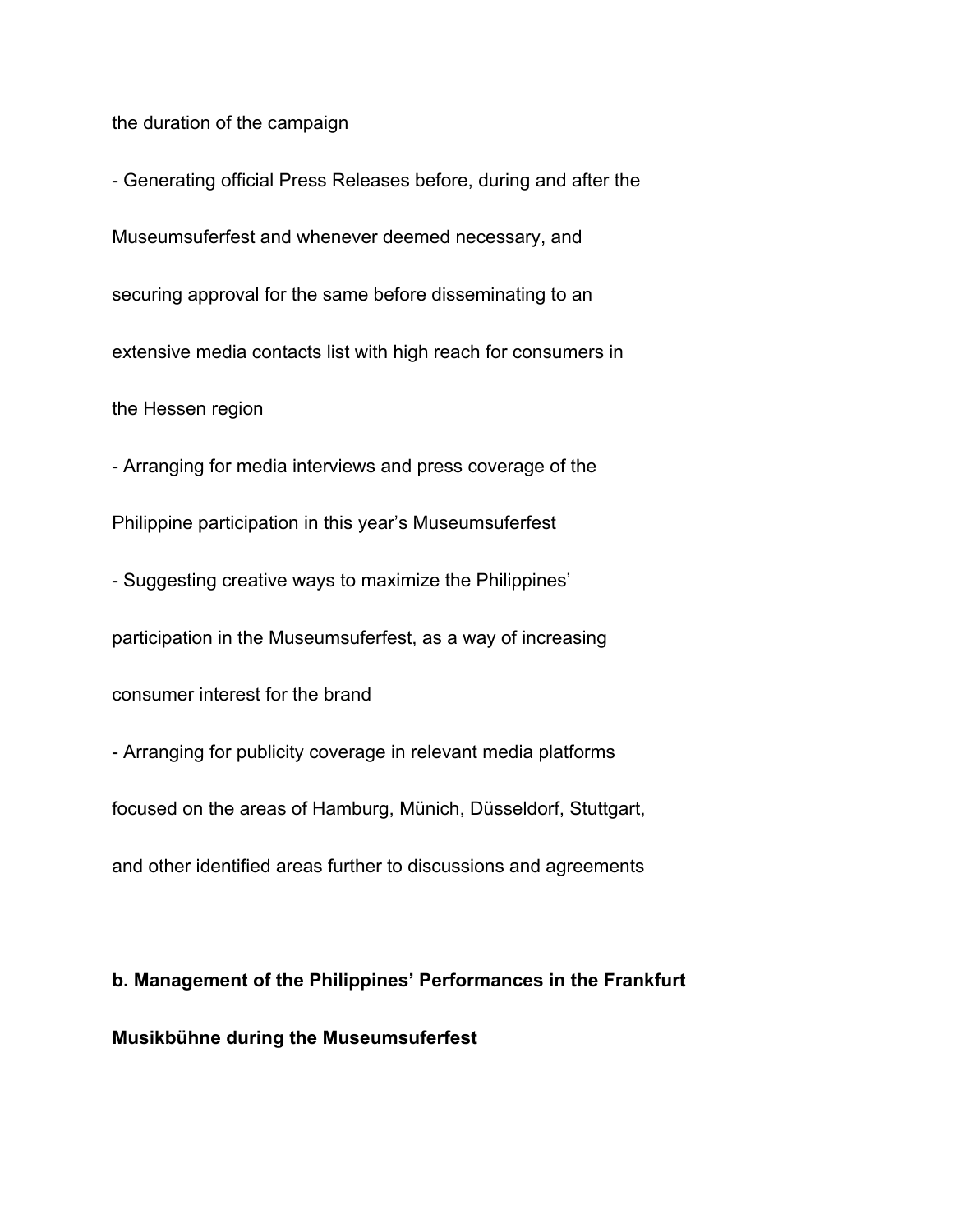the duration of the campaign

- Generating official Press Releases before, during and after the Museumsuferfest and whenever deemed necessary, and securing approval for the same before disseminating to an extensive media contacts list with high reach for consumers in the Hessen region

- Arranging for media interviews and press coverage of the Philippine participation in this year's Museumsuferfest

- Suggesting creative ways to maximize the Philippines' participation in the Museumsuferfest, as a way of increasing consumer interest for the brand

- Arranging for publicity coverage in relevant media platforms focused on the areas of Hamburg, Münich, Düsseldorf, Stuttgart, and other identified areas further to discussions and agreements

# **b. Management of the Philippines' Performances in the Frankfurt Musikbühne during the Museumsuferfest**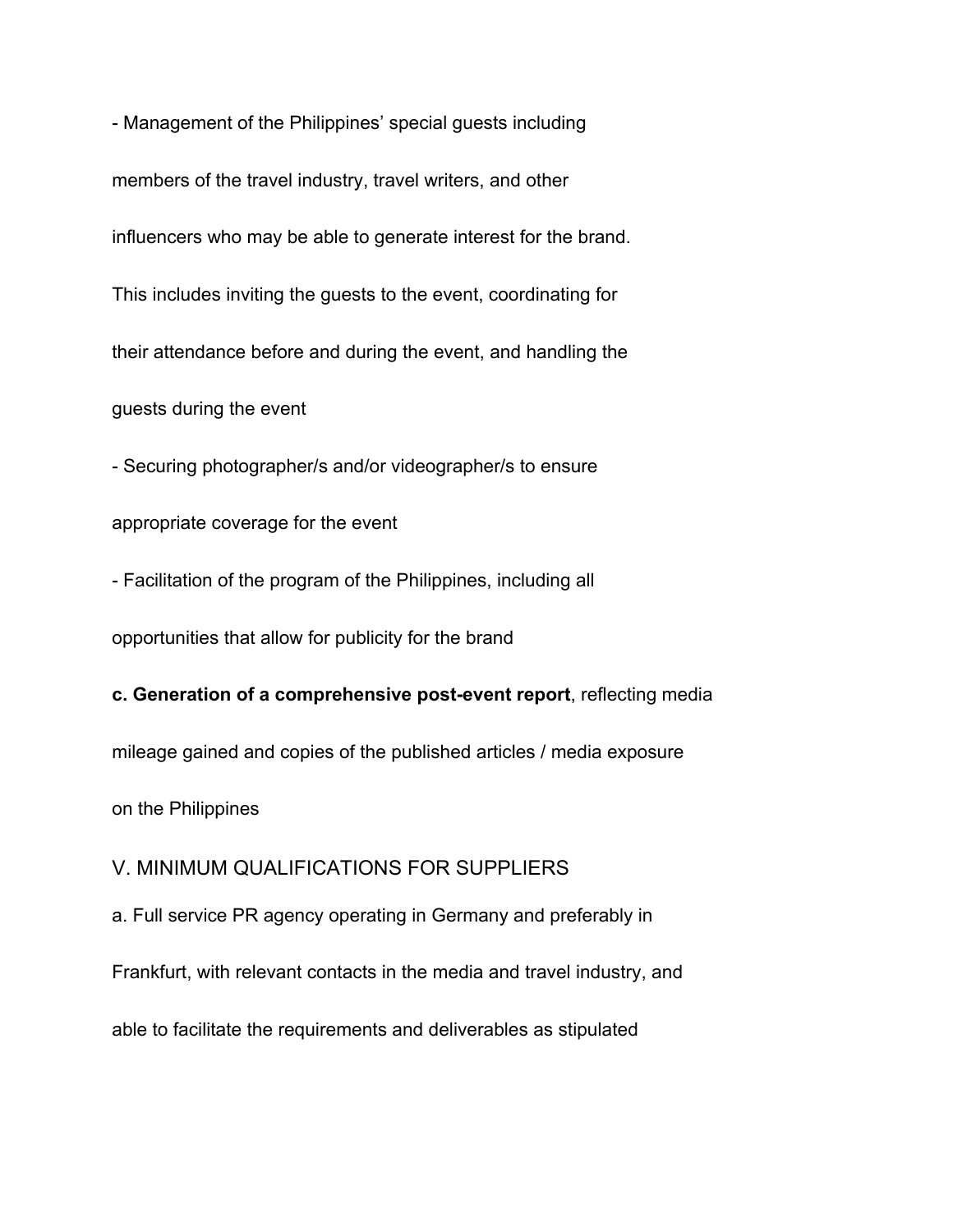- Management of the Philippines' special guests including members of the travel industry, travel writers, and other influencers who may be able to generate interest for the brand. This includes inviting the guests to the event, coordinating for their attendance before and during the event, and handling the guests during the event

- Securing photographer/s and/or videographer/s to ensure appropriate coverage for the event

- Facilitation of the program of the Philippines, including all

opportunities that allow for publicity for the brand

#### **c. Generation of a comprehensive post-event report**, reflecting media

mileage gained and copies of the published articles / media exposure

on the Philippines

### V. MINIMUM QUALIFICATIONS FOR SUPPLIERS

a. Full service PR agency operating in Germany and preferably in

Frankfurt, with relevant contacts in the media and travel industry, and

able to facilitate the requirements and deliverables as stipulated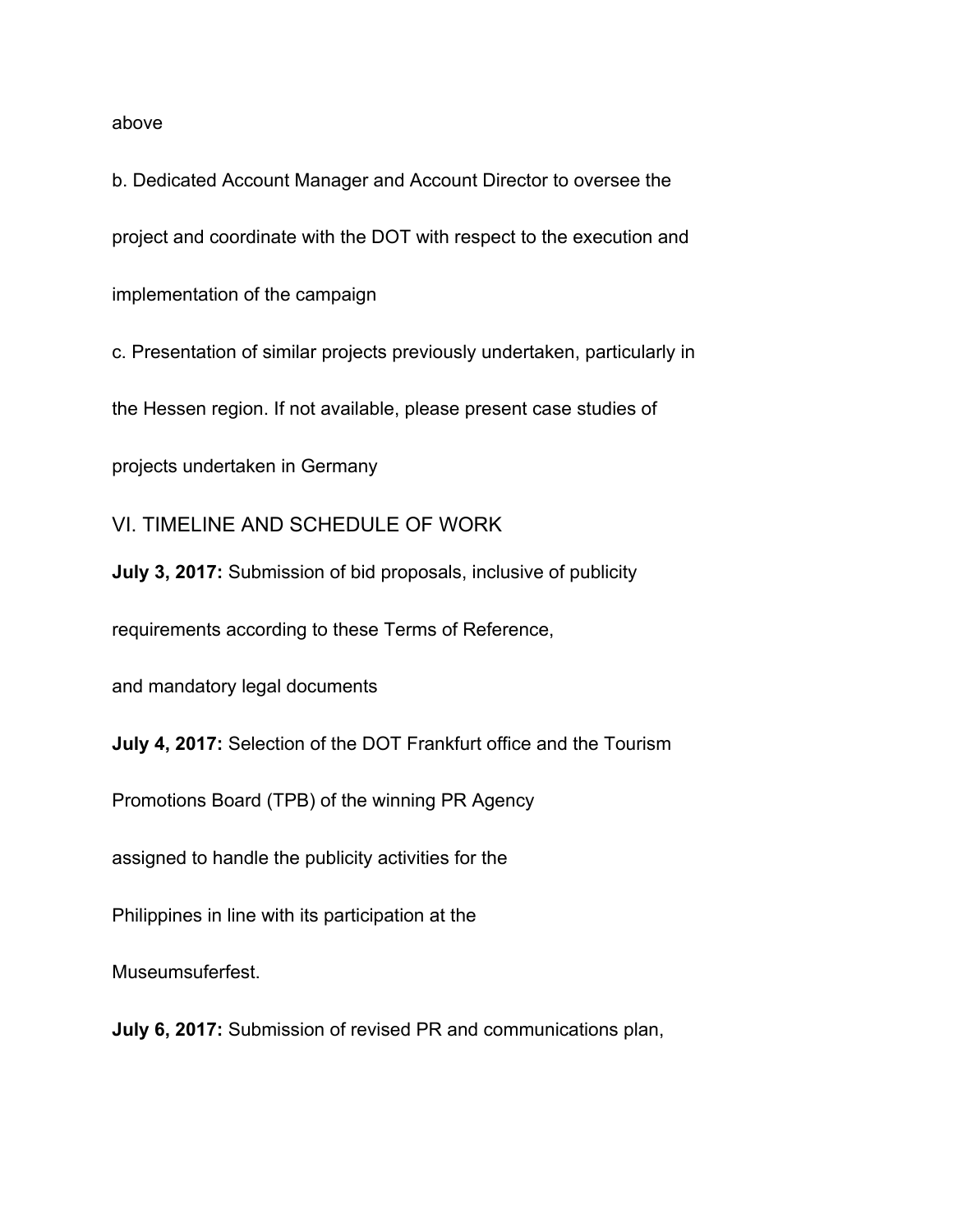#### above

b. Dedicated Account Manager and Account Director to oversee the project and coordinate with the DOT with respect to the execution and implementation of the campaign

c. Presentation of similar projects previously undertaken, particularly in

the Hessen region. If not available, please present case studies of

projects undertaken in Germany

VI. TIMELINE AND SCHEDULE OF WORK

**July 3, 2017:** Submission of bid proposals, inclusive of publicity

requirements according to these Terms of Reference,

and mandatory legal documents

**July 4, 2017:** Selection of the DOT Frankfurt office and the Tourism

Promotions Board (TPB) of the winning PR Agency

assigned to handle the publicity activities for the

Philippines in line with its participation at the

Museumsuferfest.

**July 6, 2017:** Submission of revised PR and communications plan,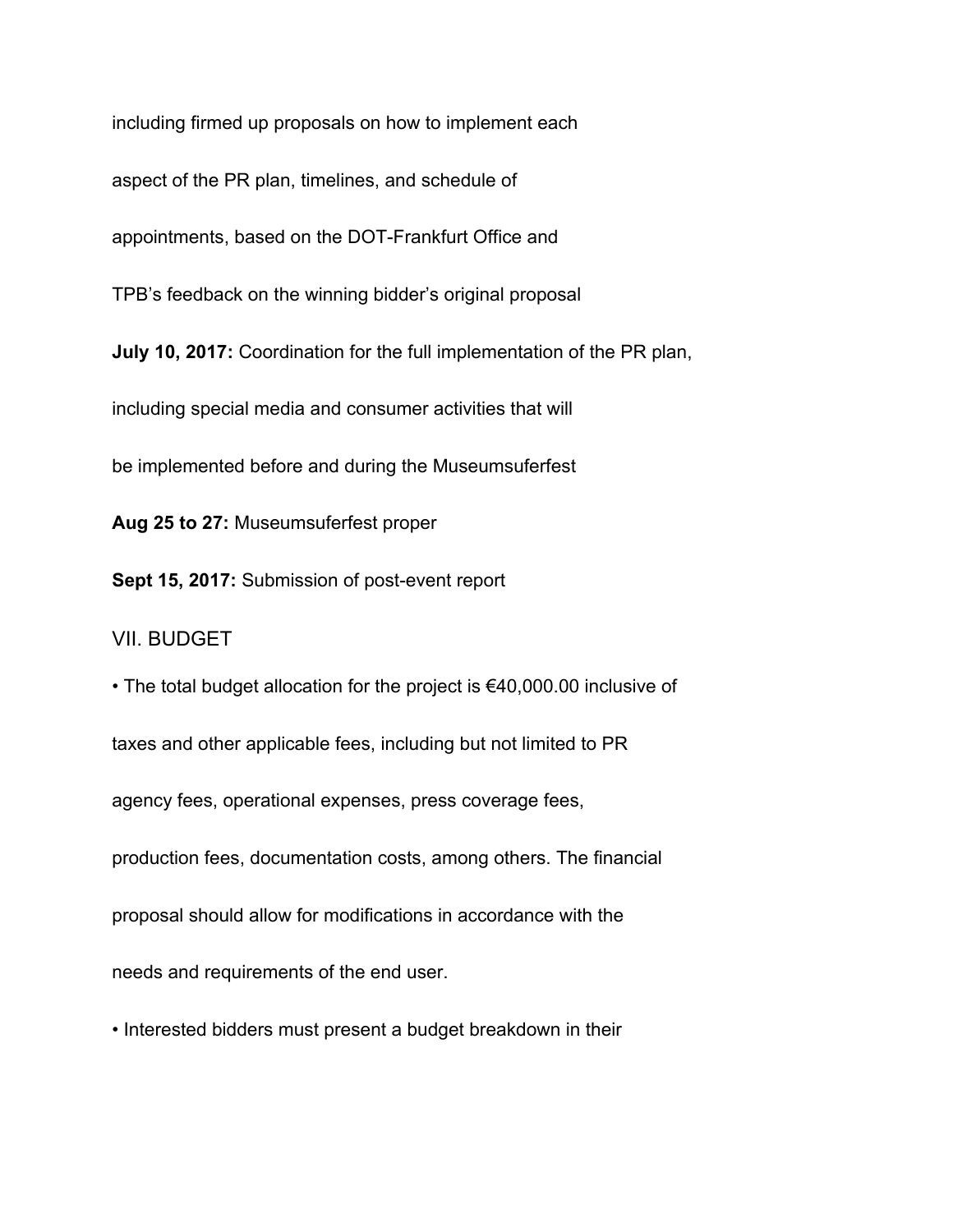including firmed up proposals on how to implement each aspect of the PR plan, timelines, and schedule of appointments, based on the DOT-Frankfurt Office and TPB's feedback on the winning bidder's original proposal **July 10, 2017:** Coordination for the full implementation of the PR plan, including special media and consumer activities that will be implemented before and during the Museumsuferfest

**Aug 25 to 27:** Museumsuferfest proper

**Sept 15, 2017:** Submission of post-event report

VII. BUDGET

• The total budget allocation for the project is €40,000.00 inclusive of taxes and other applicable fees, including but not limited to PR agency fees, operational expenses, press coverage fees, production fees, documentation costs, among others. The financial proposal should allow for modifications in accordance with the needs and requirements of the end user.

• Interested bidders must present a budget breakdown in their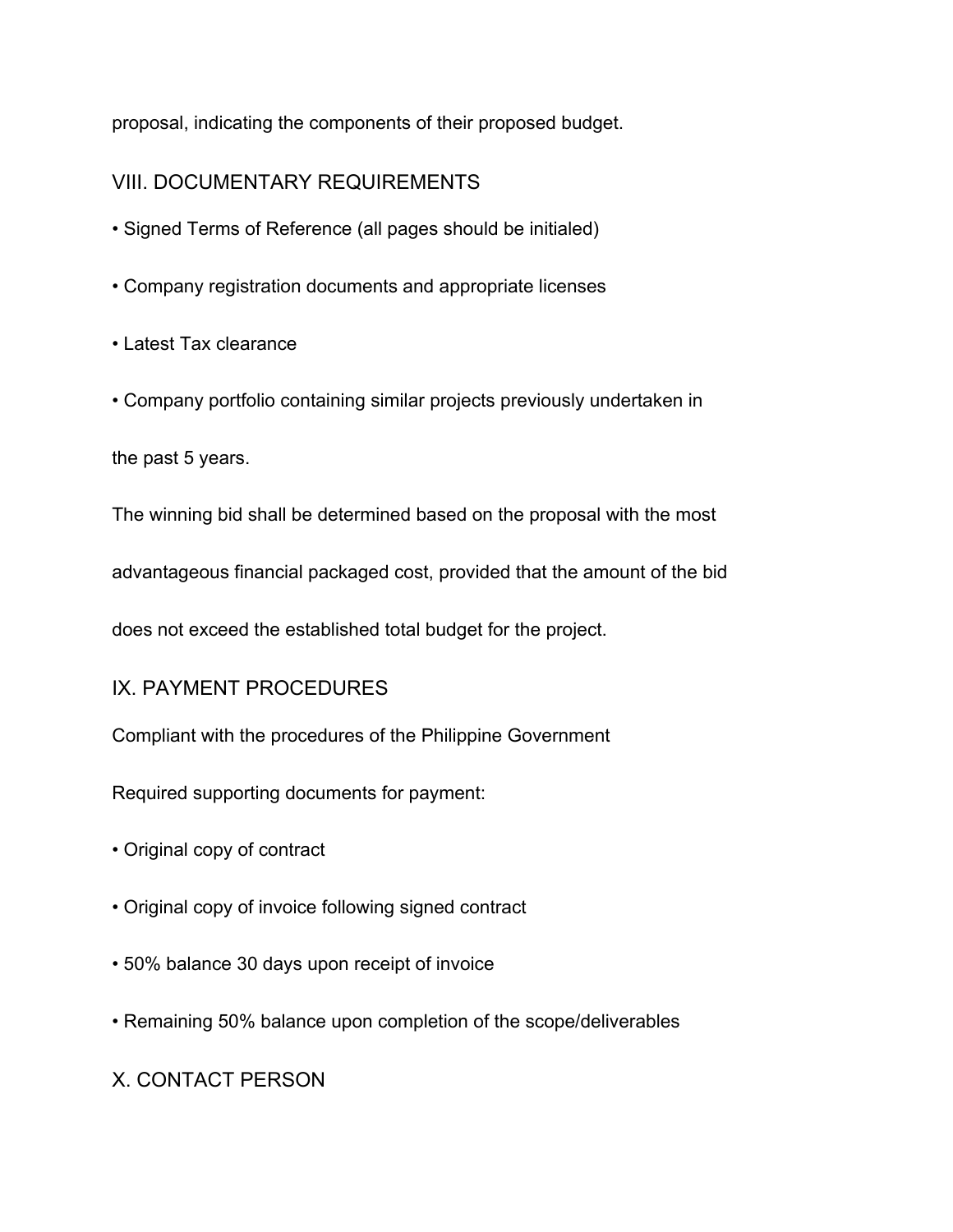proposal, indicating the components of their proposed budget.

# VIII. DOCUMENTARY REQUIREMENTS

- Signed Terms of Reference (all pages should be initialed)
- Company registration documents and appropriate licenses
- Latest Tax clearance
- Company portfolio containing similar projects previously undertaken in

the past 5 years.

The winning bid shall be determined based on the proposal with the most

advantageous financial packaged cost, provided that the amount of the bid

does not exceed the established total budget for the project.

## IX. PAYMENT PROCEDURES

Compliant with the procedures of the Philippine Government

Required supporting documents for payment:

- Original copy of contract
- Original copy of invoice following signed contract
- 50% balance 30 days upon receipt of invoice
- Remaining 50% balance upon completion of the scope/deliverables

## X. CONTACT PERSON